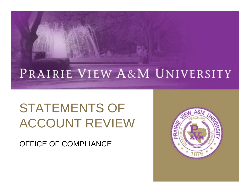#### PRAIRIE VIEW A&M UNIVERSITY

#### STATEMENTS OF ACCOUNT REVIEW

OFFICE OF COMPLIANCE

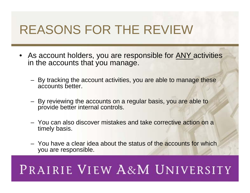#### REASONS FOR THE REVIEW

- As account holders, you are responsible for ANY activities in the accounts that you manage.
	- By tracking the account activities, you are able to manage these accounts better.
	- By reviewing the accounts on a regular basis, you are able to provide better internal controls.
	- You can also discover mistakes and take corrective action on a timely basis.
	- You have a clear idea about the status of the accounts for which you are responsible.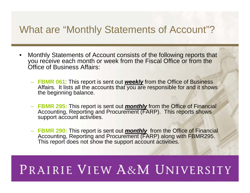#### What are "Monthly Statements of Account"?

- Monthly Statements of Account consists of the following reports that you receive each month or week from the Fiscal Office or from the Office of Business Affairs:
	- **FBMR 061**: This report is sent out **weekly** from the Office of Business<br>Affairs. It lists all the accounts that you are responsible for and it shows the beginning balance.
	- **FBMR 295:** This report is sent out **monthly** from the Office of Financial Accounting, Reporting and Procurement (FARP). This reports shows support account activities.
	- **FBMR 290:** This report is sent out *monthly* from the Office of Financial Accounting, Reporting and Procurement (FARP) along with FBMR295. This report does not show the support account activities.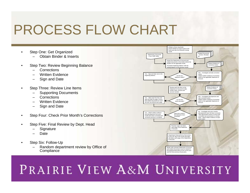## PROCESS FLOW CHART

- Step One: Get Organized
	- Obtain Binder & Inserts
- Step Two: Review Beginning Balance
	- Corrections
	- Written Evidence
	- Sign and Date
- Step Three: Review Line Items
	- Supporting Documents
	- Corrections
	- Written Evidence
	- Sign and Date
- Step Four: Check Prior Month's Corrections
- Step Five: Final Review by Dept. Head
	- **Signature**
	- Date
- Step Six: Follow-Up
	- Random department review by Office of **Compliance**

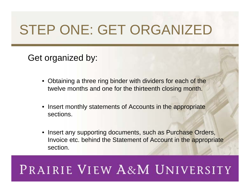# STEP ONE: GET ORGANIZED

#### Get organized by:

- Obtaining a three ring binder with dividers for each of the twelve months and one for the thirteenth closing month.
- Insert monthly statements of Accounts in the appropriate sections.
- Insert any supporting documents, such as Purchase Orders, Invoice etc. behind the Statement of Account in the appropriate section.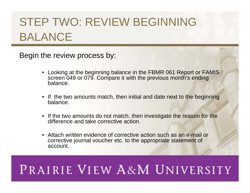#### STEP TWO: REVIEW BEGINNING BALANCE

Begin the review process by:

- Looking at the beginning balance in the FBMR 061 Report or FAMIS screen 049 or 079. Compare it with the previous month's ending balance.
- If the two amounts match, then initial and date next to the beginning balance.
- If the two amounts do not match, then investigate the reason for the difference and take corrective action.
- Attach *written* evidence of corrective action such as an e-mail or corrective journal voucher etc. to the appropriate statement of account.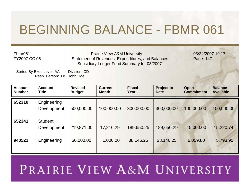#### BEGINNING BALANCE - FBMR 061

Fbmr061FY2007 CC 05

Prairie Vie w A & Statement of Revenues, Expenditures, and Bal ancesSubsidiary Ledger F und Summary for 03/2007

03/24/2007 19:17 Page: 147

Sorted By Exec Level: AA Division: CD Resp. Per son: Dr. Joh n Do e

| <b>Account</b><br><b>Number</b> | <b>Account</b><br><b>Title</b> | <b>Revised</b><br><b>Budget</b> | <b>Current</b><br><b>Month</b> | <b>Fiscal</b><br>Year | <b>Project to</b><br><b>Date</b> | <b>Open</b><br><b>Commitment</b> | <b>Balance</b><br><b>Available</b> |
|---------------------------------|--------------------------------|---------------------------------|--------------------------------|-----------------------|----------------------------------|----------------------------------|------------------------------------|
| 652310                          | Engineering<br>Development     | 500,000.00                      | 100,000.00                     | 300,000.00            | 300,000.00                       | 100,000.00                       | 100,000.00                         |
| 652341                          | <b>Student</b><br>Development  | 219,871.00                      | 17,216.29                      | 189,650.25            | 189,650.29                       | 15,000.00                        | 15,220.74                          |
| 940521                          | Engineering                    | 50,000.00                       | 1,000.00                       | 38,146.25             | 38,146.25                        | 6,059.80                         | 5,793.95                           |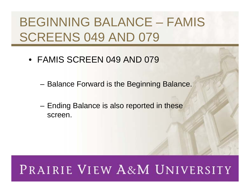### BEGINNING BALANCE – FAMIS SCREENS 049 AND 079

- FAMIS SCREEN 049 AND 079
	- Balance Forward is the Beginning Balance.
	- Ending Balance is also reported in these screen.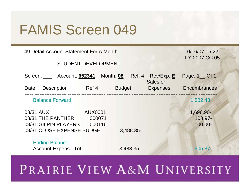### FAMIS Screen 049

| 49 Detail Account Statement For A Month                                | 10/16/07 15:22 |               |          |                                 |
|------------------------------------------------------------------------|----------------|---------------|----------|---------------------------------|
| <b>STUDENT DEVELOPMENT</b>                                             | FY 2007 CC 05  |               |          |                                 |
| Screen: _____ Account: 652341 Month: 08 Ref: 4 Rev/Exp: E              |                |               | Sales or | Page: 1 _ Of 1                  |
| Description<br>Date                                                    | Ref 4          | <b>Budget</b> |          | Expenses Encumbrances           |
| <b>Balance Forward</b>                                                 |                |               |          | 1,582.48                        |
| 08/31 AUX<br>08/31 THE PANTHER 1000071<br>08/31 GILPIN PLAYERS 1000116 | <b>AUX0001</b> |               |          | 1,696.90-<br>108.97-<br>100.00- |
| 08/31 CLOSE EXPENSE BUDGE                                              |                | 3,488.35-     |          |                                 |
| <b>Ending Balance</b><br><b>Account Expense Tot</b>                    |                | 3,488.35-     |          | 1,905.87-                       |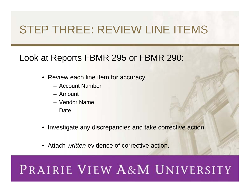#### STEP THREE: REVIEW LINE ITEMS

#### Look at Reports FBMR 295 or FBMR 290:

- Review each line item for accuracy.
	- Account Number
	- Amount
	- Vendor Name
	- Date
- Investigate any discrepancies and take corrective action.
- Attach *written* evidence of corrective action.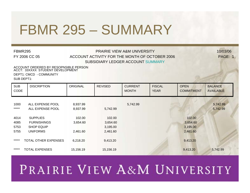## FBMR 295 – SUMMARY

#### FBMR295 **PRAIRIE VIEW A&M UNIVERSITY** 10/03/06 FY 2006 CC 05 ACCOUNT ACTIVITY FOR THE MONTH OF OCTOBER 2006 PAGE: 1 SUBSIDIARY LEDGER ACCOUNT SUMMARY

ACCOUNT ORDERED BY RESOPNSIBLE PERSON ACCT: 33XXXX STUDENT DEVELOPMENTDEPT1: CMCD - COMMUNITY SUB DEPT1:

| <b>SUB</b><br>CODE | <b>DISCRIPTION</b>                   | <b>ORIGINAL</b>      | <b>REVISED</b> | <b>CURRENT</b><br><b>MONTH</b> | <b>FISCAL</b><br><b>YEAR</b> | <b>OPEN</b><br><b>COMMITMENT</b> | <b>BALANCE</b><br><b>AVAILABLE</b> |
|--------------------|--------------------------------------|----------------------|----------------|--------------------------------|------------------------------|----------------------------------|------------------------------------|
| 1000<br>$***$ **   | ALL EXPENSE POOL<br>ALL EXPENSE POOL | 8,937.99<br>8,937.99 | 5,742.99       | 5,742.99                       |                              |                                  | 5,742.99<br>5,742.99               |
| 4014               | <b>SUPPLIES</b>                      | 102.00               | 102.00         |                                |                              | 102.00                           |                                    |
| 4085               | <b>FURNISHINGS</b>                   | 3,654.60             | 3,654.60       |                                |                              | 3,654.60                         |                                    |
| 5753               | <b>SHOP EQUIP</b>                    |                      | 3,195.00       |                                |                              | 3,195.00                         |                                    |
| 5755               | <b>UNIFORMS</b>                      | 2,461.60             | 2,461.60       |                                |                              | 2,461.60                         |                                    |
| *****              | TOTAL OTHER EXPENSES                 | 6,218.20             | 9,413.20       |                                |                              | 9,413.20                         |                                    |
| *****              | <b>TOTAL EXPENSES</b>                | 15,156.19            | 15,156.19      |                                |                              | 9,413.20                         | 5,742.99                           |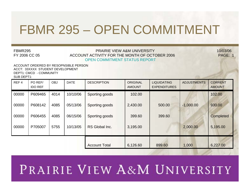#### FBMR 295 – OPEN COMMITMENT

#### FBMR295 PRAIRIE VIEW A&M UNIVERSITY 10/03/06FY 2006 CC 05 ACCOUNT ACTIVITY FOR THE MONTH OF OCTOBER 2006 PAGE: 1 OPEN COMMITMENT STATUS REPORT

ACCT: 33XXXX STUDENT DEVELOPMENTDEPT1: CMCD - COMMUNITY SUB DEPT1:ACCOUNT ORDERED BY RESOPNSIBLE PERSON

| REF <sub>4</sub> | PO REF/<br><b>IDO REF</b> | <b>OBJ</b> | <b>DATE</b> | <b>DESCRIPTION</b>   | <b>ORIGINAL</b><br><b>AMOUNT</b>  | <b>LIQUIDATING</b><br><b>EXPENDITURES</b> | <b>ADJUSTMENTS</b> | <b>CORRENT</b><br><b>AMOUNT</b> |
|------------------|---------------------------|------------|-------------|----------------------|-----------------------------------|-------------------------------------------|--------------------|---------------------------------|
| 00000            | P609465                   | 4014       | 10/10/06    | Sporting goods       | 102.00                            |                                           |                    | 102.00                          |
| 00000            | P608142                   | 4085       | 05/13/06    | Sporting goods       | 2,430.00<br>$-1,000.00$<br>500.00 |                                           |                    | 930.00                          |
| 00000            | P606455                   | 4085       | 06/15/06    | Sporting goods       | 399.60                            | 399.60                                    |                    | Completed                       |
| 00000            | P705007                   | 5755       | 10/13/05    | RS Global Inc.       | 2,000.00<br>3,195.00              |                                           | 5,195.00           |                                 |
|                  |                           |            |             | <b>Account Total</b> | 6,126.60                          | 899.60                                    | 1,000              | 6,227.00                        |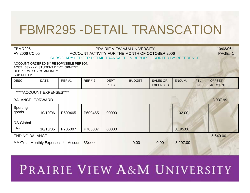#### FBMR295 -DETAIL TRANSCATION

| FBMR295<br><b>PRAIRIE VIEW A&amp;M UNIVERSITY</b><br>FY 2006 CC 05<br>ACCOUNT ACTIVITY FOR THE MONTH OF OCTOBER 2006<br>SUBSIDIARY LEDGER DETAIL TRANSACTION REPORT - SORTED BY REFERENCE |             |              |          |                     |               |                                    |          |                          | 10/03/06<br>PAGE: 1             |
|-------------------------------------------------------------------------------------------------------------------------------------------------------------------------------------------|-------------|--------------|----------|---------------------|---------------|------------------------------------|----------|--------------------------|---------------------------------|
| ACCOUNT ORDERED BY RESOPNSIBLE PERSON<br>ACCT: 33XXXX STUDENT DEVELOPMENT<br>DEPT1: CMCD - COMMUNITY<br>SUB DEPT1:                                                                        |             |              |          |                     |               |                                    |          |                          |                                 |
| DESC.                                                                                                                                                                                     | <b>DATE</b> | <b>REF#1</b> | REF $#2$ | <b>DEPT</b><br>REF# | <b>BUDGET</b> | <b>SALES OR</b><br><b>EXPENSES</b> | ENCUM.   | <b>PTL</b><br><b>FNL</b> | <b>OFFSET</b><br><b>ACCOUNT</b> |
| *****ACCOUNT EXPENSES****                                                                                                                                                                 |             |              |          |                     |               |                                    |          |                          |                                 |
| <b>BALANCE FORWARD</b>                                                                                                                                                                    |             |              |          |                     |               |                                    |          |                          | 8,937.99                        |
| Sporting<br>goods                                                                                                                                                                         | 10/10/06    | P609465      | P609465  | 00000               |               |                                    | 102.00   |                          |                                 |
| <b>RS Global</b><br>Inc.                                                                                                                                                                  | 10/13/05    | P705007      | P705007  | 00000               |               |                                    | 3,195.00 |                          |                                 |
| <b>ENDING BALANCE</b>                                                                                                                                                                     |             |              |          |                     |               |                                    |          |                          | 5,640.00                        |
| *****Total Monthly Expenses for Account: 33xxxx                                                                                                                                           |             |              |          | 0.00                | 0.00          | 3,297.00                           |          |                          |                                 |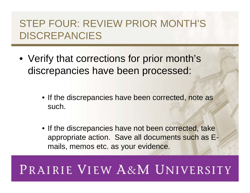#### STEP FOUR: REVIEW PRIOR MONTH'S DISCREPANCIES

- Verify that corrections for prior month's discrepancies have been processed:
	- If the discrepancies have been corrected, note as such.
	- If the discrepancies have not been corrected, take appropriate action. Save all documents such as Emails, memos etc. as your evidence.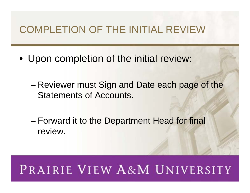#### COMPLETION OF THE INITIAL REVIEW

- Upon completion of the initial review:
	- Reviewer must Sign and Date each page of the Statements of Accounts.
	- Forward it to the Department Head for final review.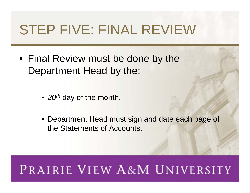## STEP FIVE: FINAL REVIEW

- Final Review must be done by the Department Head by the:
	- 20<sup>th</sup> day of the month.
	- Department Head must sign and date each page of the Statements of Accounts.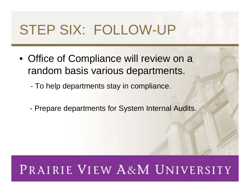## STEP SIX: FOLLOW-UP

- Office of Compliance will review on a random basis various departments.
	- To help departments stay in compliance.
	- Prepare departments for System Internal Audits.